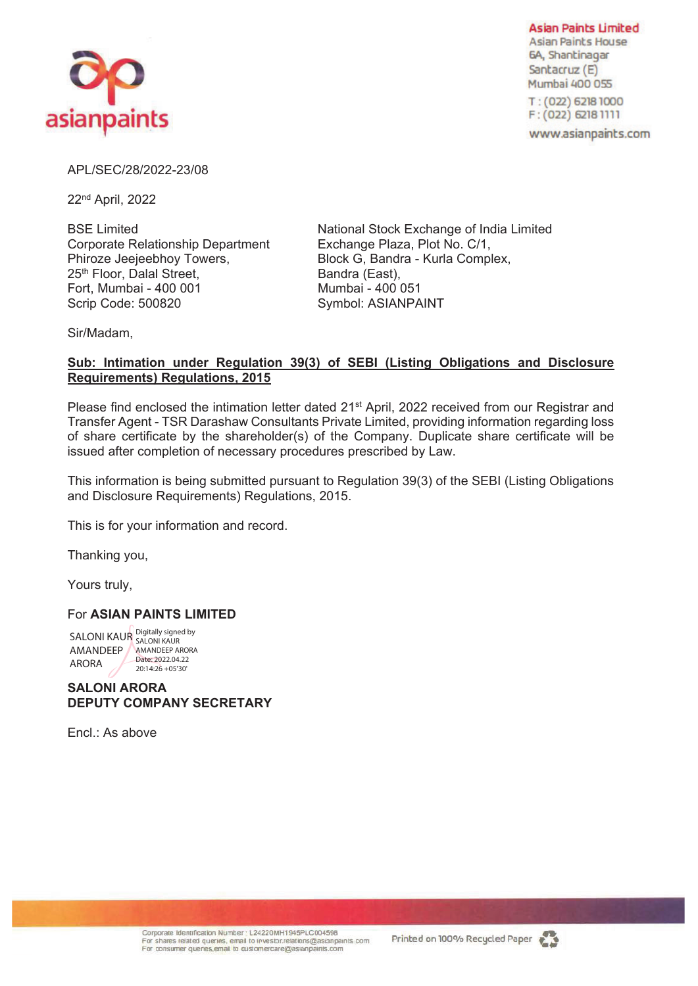

**Asian Paints Limited Asian Paints House** 6A, Shantinagar Santacruz (E) Mumbai 400 055

T: (022) 6218 1000  $F: (022)$  6218 1111

www.asianpaints.com

## APL/SEC/28/2022-23/08

22nd April, 2022

Corporate Relationship Department Exchange Plaza, Plot No. C/1, Phiroze Jeejeebhoy Towers, Block G, Bandra - Kurla Complex, 25<sup>th</sup> Floor, Dalal Street, Bandra (East), Fort, Mumbai - 400 001 Mumbai - 400 051 Scrip Code: 500820 Symbol: ASIANPAINT

BSE Limited **National Stock Exchange of India Limited** 

Sir/Madam,

# **Sub: Intimation under Regulation 39(3) of SEBI (Listing Obligations and Disclosure Requirements) Regulations, 2015**

Please find enclosed the intimation letter dated 21<sup>st</sup> April, 2022 received from our Registrar and Transfer Agent - TSR Darashaw Consultants Private Limited, providing information regarding loss of share certificate by the shareholder(s) of the Company. Duplicate share certificate will be issued after completion of necessary procedures prescribed by Law.

This information is being submitted pursuant to Regulation 39(3) of the SEBI (Listing Obligations and Disclosure Requirements) Regulations, 2015.

This is for your information and record.

Thanking you,

Yours truly,

## For **ASIAN PAINTS LIMITED**

SALONI KAUR Digitally signed by AMANDEEP AMANDEEP ARORA ARORA Date: 2022.04.22 20:14:26 +05'30'

**SALONI ARORA DEPUTY COMPANY SECRETARY** 

Encl.: As above

Corporate Identification Number : L24220MH1945PLC004598<br>For shares related queries, email to investor relations@asianpaints.com For consumer quenes, email to customercare@asianpaints.com

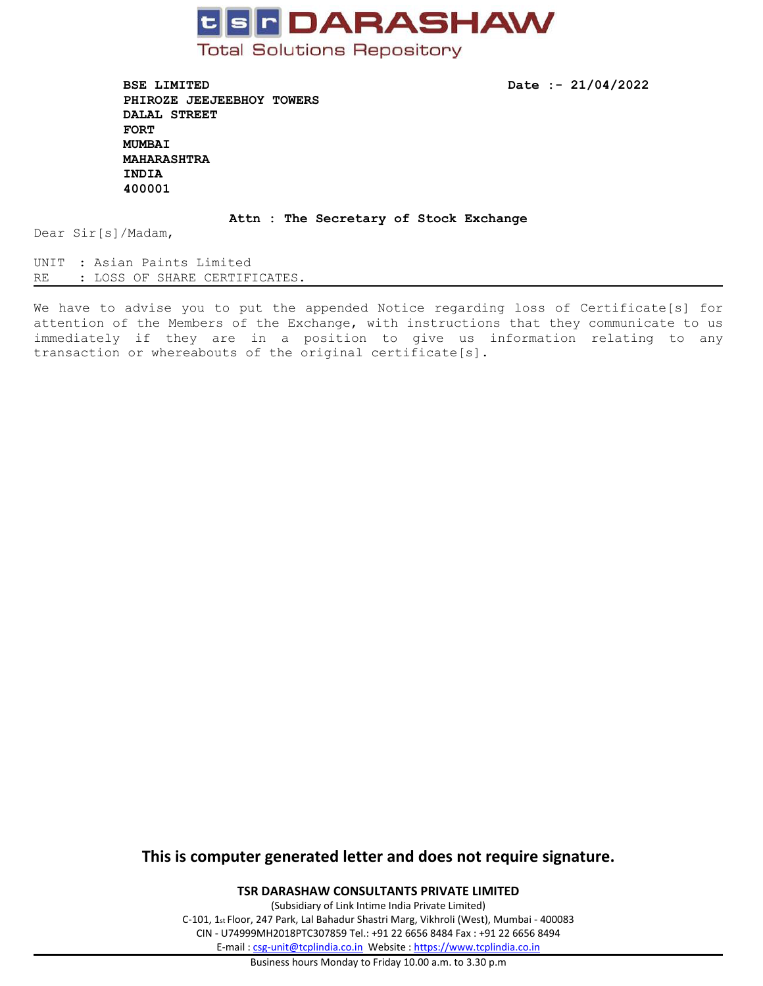

**BSE LIMITED Date :- 21/04/2022 PHIROZE JEEJEEBHOY TOWERS DALAL STREET FORT MUMBAI MAHARASHTRA INDIA 400001**

#### **Attn : The Secretary of Stock Exchange**

Dear Sir[s]/Madam,

UNIT : Asian Paints Limited RE : LOSS OF SHARE CERTIFICATES.

We have to advise you to put the appended Notice regarding loss of Certificate[s] for attention of the Members of the Exchange, with instructions that they communicate to us immediately if they are in <sup>a</sup> position to give us information relating to any transaction or whereabouts of the original certificate[s].

# **This is computer generated letter and does not require signature.**

**TSR DARASHAW CONSULTANTS PRIVATE LIMITED**

(Subsidiary of Link Intime India Private Limited) C-101, 1st Floor, 247 Park, Lal Bahadur Shastri Marg, Vikhroli (West), Mumbai - 400083 CIN - U74999MH2018PTC307859 Tel.: +91 22 6656 8484 Fax : +91 22 6656 8494 E-mail : [csg-unit@tcplindia.co.in](mailto:csg-unit@tcplindia.co.in) Website : <https://www.tcplindia.co.in>

Business hours Monday to Friday 10.00 a.m. to 3.30 p.m